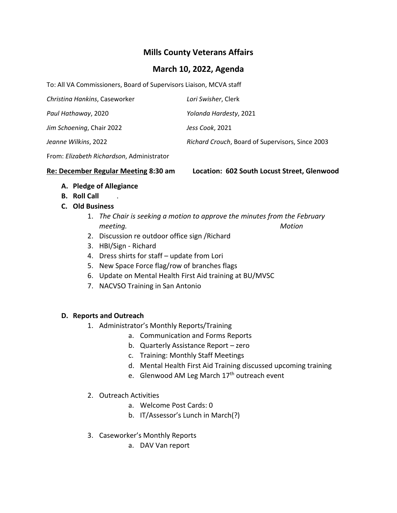# **Mills County Veterans Affairs**

### **March 10, 2022, Agenda**

To: All VA Commissioners, Board of Supervisors Liaison, MCVA staff

| Christina Hankins, Caseworker | Lori Swisher, Clerk                              |
|-------------------------------|--------------------------------------------------|
| Paul Hathaway, 2020           | Yolanda Hardesty, 2021                           |
| Jim Schoening, Chair 2022     | Jess Cook, 2021                                  |
| Jeanne Wilkins, 2022          | Richard Crouch, Board of Supervisors, Since 2003 |

From: *Elizabeth Richardson*, Administrator

**Re: December Regular Meeting 8:30 am Location: 602 South Locust Street, Glenwood**

- **A. Pledge of Allegiance**
- **B. Roll Call** .
- **C. Old Business**
	- 1. *The Chair is seeking a motion to approve the minutes from the February meeting. Motion*
	- 2. Discussion re outdoor office sign /Richard
	- 3. HBI/Sign Richard
	- 4. Dress shirts for staff update from Lori
	- 5. New Space Force flag/row of branches flags
	- 6. Update on Mental Health First Aid training at BU/MVSC
	- 7. NACVSO Training in San Antonio

### **D. Reports and Outreach**

- 1. Administrator's Monthly Reports/Training
	- a. Communication and Forms Reports
	- b. Quarterly Assistance Report zero
	- c. Training: Monthly Staff Meetings
	- d. Mental Health First Aid Training discussed upcoming training
	- e. Glenwood AM Leg March 17<sup>th</sup> outreach event
- 2. Outreach Activities
	- a. Welcome Post Cards: 0
	- b. IT/Assessor's Lunch in March(?)
- 3. Caseworker's Monthly Reports
	- a. DAV Van report